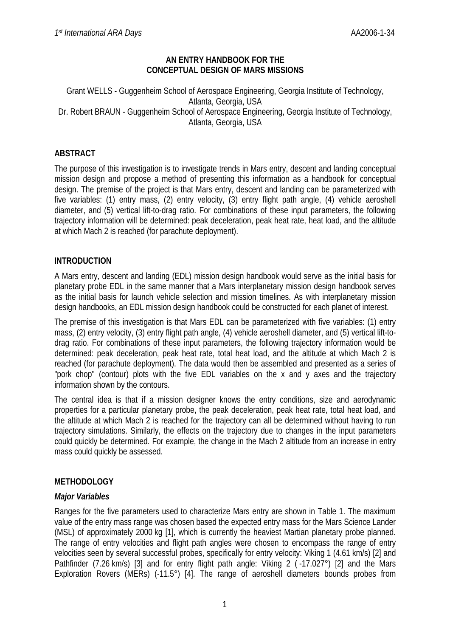### **AN ENTRY HANDBOOK FOR THE CONCEPTUAL DESIGN OF MARS MISSIONS**

#### Grant WELLS - Guggenheim School of Aerospace Engineering, Georgia Institute of Technology, Atlanta, Georgia, USA Dr. Robert BRAUN - Guggenheim School of Aerospace Engineering, Georgia Institute of Technology, Atlanta, Georgia, USA

## **ABSTRACT**

The purpose of this investigation is to investigate trends in Mars entry, descent and landing conceptual mission design and propose a method of presenting this information as a handbook for conceptual design. The premise of the project is that Mars entry, descent and landing can be parameterized with five variables: (1) entry mass, (2) entry velocity, (3) entry flight path angle, (4) vehicle aeroshell diameter, and (5) vertical lift-to-drag ratio. For combinations of these input parameters, the following trajectory information will be determined: peak deceleration, peak heat rate, heat load, and the altitude at which Mach 2 is reached (for parachute deployment).

### **INTRODUCTION**

A Mars entry, descent and landing (EDL) mission design handbook would serve as the initial basis for planetary probe EDL in the same manner that a Mars interplanetary mission design handbook serves as the initial basis for launch vehicle selection and mission timelines. As with interplanetary mission design handbooks, an EDL mission design handbook could be constructed for each planet of interest.

The premise of this investigation is that Mars EDL can be parameterized with five variables: (1) entry mass, (2) entry velocity, (3) entry flight path angle, (4) vehicle aeroshell diameter, and (5) vertical lift-todrag ratio. For combinations of these input parameters, the following trajectory information would be determined: peak deceleration, peak heat rate, total heat load, and the altitude at which Mach 2 is reached (for parachute deployment). The data would then be assembled and presented as a series of "pork chop" (contour) plots with the five EDL variables on the x and y axes and the trajectory information shown by the contours.

The central idea is that if a mission designer knows the entry conditions, size and aerodynamic properties for a particular planetary probe, the peak deceleration, peak heat rate, total heat load, and the altitude at which Mach 2 is reached for the trajectory can all be determined without having to run trajectory simulations. Similarly, the effects on the trajectory due to changes in the input parameters could quickly be determined. For example, the change in the Mach 2 altitude from an increase in entry mass could quickly be assessed.

### **METHODOLOGY**

### *Major Variables*

Ranges for the five parameters used to characterize Mars entry are shown in Table 1. The maximum value of the entry mass range was chosen based the expected entry mass for the Mars Science Lander (MSL) of approximately 2000 kg [1], which is currently the heaviest Martian planetary probe planned. The range of entry velocities and flight path angles were chosen to encompass the range of entry velocities seen by several successful probes, specifically for entry velocity: Viking 1 (4.61 km/s) [2] and Pathfinder (7.26 km/s) [3] and for entry flight path angle: Viking 2 (-17.027°) [2] and the Mars Exploration Rovers (MERs) (-11.5°) [4]. The range of aeroshell diameters bounds probes from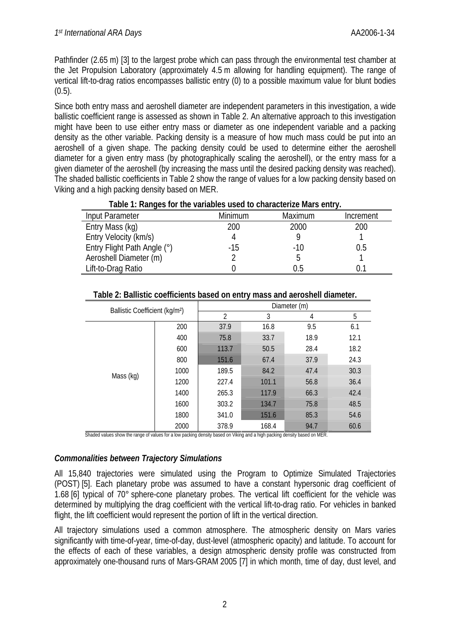Pathfinder (2.65 m) [3] to the largest probe which can pass through the environmental test chamber at the Jet Propulsion Laboratory (approximately 4.5 m allowing for handling equipment). The range of vertical lift-to-drag ratios encompasses ballistic entry (0) to a possible maximum value for blunt bodies  $(0.5)$ .

Since both entry mass and aeroshell diameter are independent parameters in this investigation, a wide ballistic coefficient range is assessed as shown in Table 2. An alternative approach to this investigation might have been to use either entry mass or diameter as one independent variable and a packing density as the other variable. Packing density is a measure of how much mass could be put into an aeroshell of a given shape. The packing density could be used to determine either the aeroshell diameter for a given entry mass (by photographically scaling the aeroshell), or the entry mass for a given diameter of the aeroshell (by increasing the mass until the desired packing density was reached). The shaded ballistic coefficients in Table 2 show the range of values for a low packing density based on Viking and a high packing density based on MER.

|                 | Table 1: Ranges for the variables used to characterize Mars entry. |             |           |
|-----------------|--------------------------------------------------------------------|-------------|-----------|
| Input Parameter | Minimum                                                            | Maximum     | Increment |
| FntryMasc(kn)   | ንበበ                                                                | <u>ንበበበ</u> | ንበበ       |

| <b>INDUCT CONTIGATION</b>   | <u>IVIII III I IUI I I</u> | <u>MCAILIUIL</u> | <u>HIGITUCHI</u> |
|-----------------------------|----------------------------|------------------|------------------|
| Entry Mass (kg)             | 200                        | 2000             | 200              |
| Entry Velocity (km/s)       |                            |                  |                  |
| Entry Flight Path Angle (°) | -15                        | -10              | ს.ხ              |
| Aeroshell Diameter (m)      |                            |                  |                  |
| Lift-to-Drag Ratio          |                            | 9.5              |                  |
|                             |                            |                  |                  |

| Ballistic Coefficient (kg/m <sup>2</sup> ) |      |                |       | Diameter (m) |      |
|--------------------------------------------|------|----------------|-------|--------------|------|
|                                            |      | $\overline{2}$ | 3     | 4            | 5    |
|                                            | 200  | 37.9           | 16.8  | 9.5          | 6.1  |
|                                            | 400  | 75.8           | 33.7  | 18.9         | 12.1 |
|                                            | 600  | 113.7          | 50.5  | 28.4         | 18.2 |
|                                            | 800  | 151.6          | 67.4  | 37.9         | 24.3 |
| Mass (kg)                                  | 1000 | 189.5          | 84.2  | 47.4         | 30.3 |
|                                            | 1200 | 227.4          | 101.1 | 56.8         | 36.4 |
|                                            | 1400 | 265.3          | 117.9 | 66.3         | 42.4 |
|                                            | 1600 | 303.2          | 134.7 | 75.8         | 48.5 |
|                                            | 1800 | 341.0          | 151.6 | 85.3         | 54.6 |
|                                            | 2000 | 378.9          | 168.4 | 94.7         | 60.6 |

### **Table 2: Ballistic coefficients based on entry mass and aeroshell diameter.**

Shaded values show the range of values for a low packing density based on Viking and a high packing density based on MER.

# *Commonalities between Trajectory Simulations*

All 15,840 trajectories were simulated using the Program to Optimize Simulated Trajectories (POST) [5]. Each planetary probe was assumed to have a constant hypersonic drag coefficient of 1.68 [6] typical of 70° sphere-cone planetary probes. The vertical lift coefficient for the vehicle was determined by multiplying the drag coefficient with the vertical lift-to-drag ratio. For vehicles in banked flight, the lift coefficient would represent the portion of lift in the vertical direction.

All trajectory simulations used a common atmosphere. The atmospheric density on Mars varies significantly with time-of-year, time-of-day, dust-level (atmospheric opacity) and latitude. To account for the effects of each of these variables, a design atmospheric density profile was constructed from approximately one-thousand runs of Mars-GRAM 2005 [7] in which month, time of day, dust level, and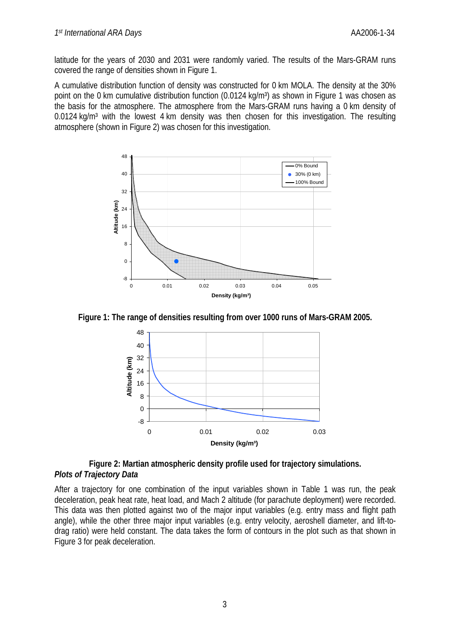latitude for the years of 2030 and 2031 were randomly varied. The results of the Mars-GRAM runs covered the range of densities shown in Figure 1.

A cumulative distribution function of density was constructed for 0 km MOLA. The density at the 30% point on the 0 km cumulative distribution function (0.0124 kg/m<sup>3</sup>) as shown in Figure 1 was chosen as the basis for the atmosphere. The atmosphere from the Mars-GRAM runs having a 0 km density of 0.0124 ka/m<sup>3</sup> with the lowest 4 km density was then chosen for this investigation. The resulting atmosphere (shown in Figure 2) was chosen for this investigation.



**Figure 1: The range of densities resulting from over 1000 runs of Mars-GRAM 2005.** 



### **Figure 2: Martian atmospheric density profile used for trajectory simulations.**  *Plots of Trajectory Data*

After a trajectory for one combination of the input variables shown in Table 1 was run, the peak deceleration, peak heat rate, heat load, and Mach 2 altitude (for parachute deployment) were recorded. This data was then plotted against two of the major input variables (e.g. entry mass and flight path angle), while the other three major input variables (e.g. entry velocity, aeroshell diameter, and lift-todrag ratio) were held constant. The data takes the form of contours in the plot such as that shown in Figure 3 for peak deceleration.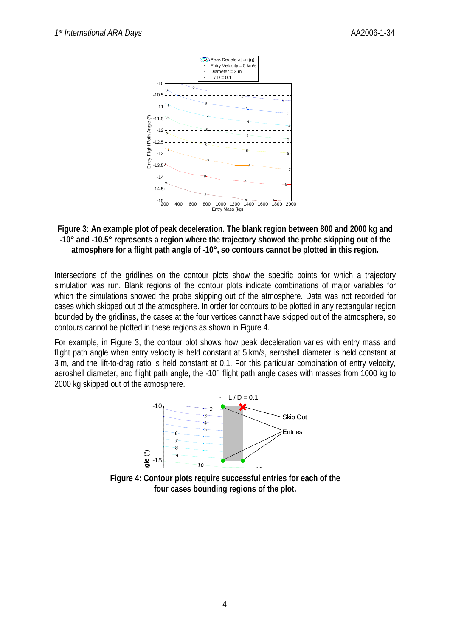

**Figure 3: An example plot of peak deceleration. The blank region between 800 and 2000 kg and -10° and -10.5° represents a region where the trajectory showed the probe skipping out of the atmosphere for a flight path angle of -10°, so contours cannot be plotted in this region.** 

Intersections of the gridlines on the contour plots show the specific points for which a trajectory simulation was run. Blank regions of the contour plots indicate combinations of major variables for which the simulations showed the probe skipping out of the atmosphere. Data was not recorded for cases which skipped out of the atmosphere. In order for contours to be plotted in any rectangular region bounded by the gridlines, the cases at the four vertices cannot have skipped out of the atmosphere, so contours cannot be plotted in these regions as shown in Figure 4.

For example, in Figure 3, the contour plot shows how peak deceleration varies with entry mass and flight path angle when entry velocity is held constant at 5 km/s, aeroshell diameter is held constant at 3 m, and the lift-to-drag ratio is held constant at 0.1. For this particular combination of entry velocity, aeroshell diameter, and flight path angle, the -10° flight path angle cases with masses from 1000 kg to 2000 kg skipped out of the atmosphere.



**Figure 4: Contour plots require successful entries for each of the four cases bounding regions of the plot.**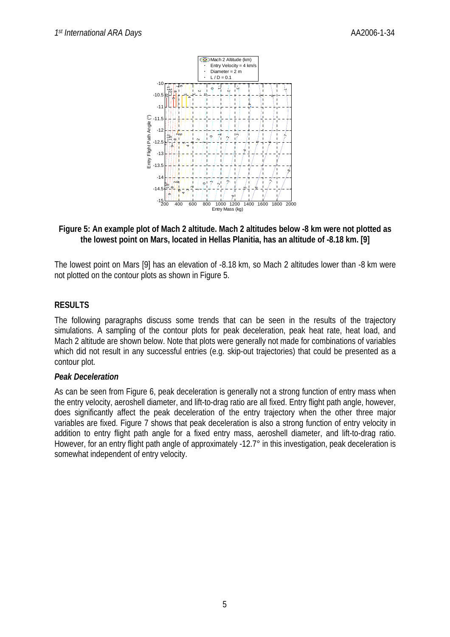

### **Figure 5: An example plot of Mach 2 altitude. Mach 2 altitudes below -8 km were not plotted as the lowest point on Mars, located in Hellas Planitia, has an altitude of -8.18 km. [9]**

The lowest point on Mars [9] has an elevation of -8.18 km, so Mach 2 altitudes lower than -8 km were not plotted on the contour plots as shown in Figure 5.

# **RESULTS**

The following paragraphs discuss some trends that can be seen in the results of the trajectory simulations. A sampling of the contour plots for peak deceleration, peak heat rate, heat load, and Mach 2 altitude are shown below. Note that plots were generally not made for combinations of variables which did not result in any successful entries (e.g. skip-out trajectories) that could be presented as a contour plot.

### *Peak Deceleration*

As can be seen from Figure 6, peak deceleration is generally not a strong function of entry mass when the entry velocity, aeroshell diameter, and lift-to-drag ratio are all fixed. Entry flight path angle, however, does significantly affect the peak deceleration of the entry trajectory when the other three major variables are fixed. Figure 7 shows that peak deceleration is also a strong function of entry velocity in addition to entry flight path angle for a fixed entry mass, aeroshell diameter, and lift-to-drag ratio. However, for an entry flight path angle of approximately -12.7° in this investigation, peak deceleration is somewhat independent of entry velocity.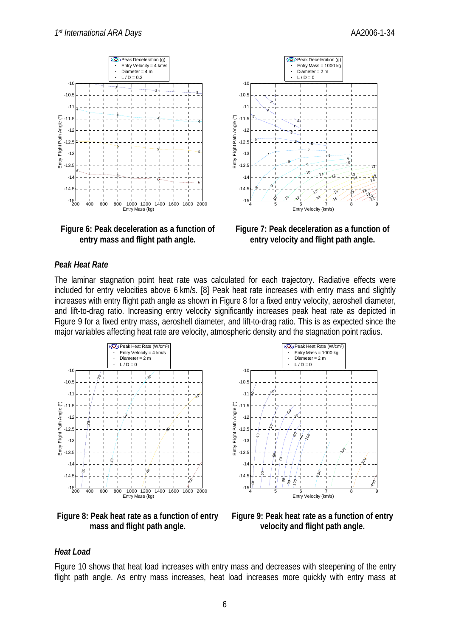





**Figure 7: Peak deceleration as a function of entry velocity and flight path angle.** 

#### *Peak Heat Rate*

The laminar stagnation point heat rate was calculated for each trajectory. Radiative effects were included for entry velocities above 6 km/s. [8] Peak heat rate increases with entry mass and slightly increases with entry flight path angle as shown in Figure 8 for a fixed entry velocity, aeroshell diameter, and lift-to-drag ratio. Increasing entry velocity significantly increases peak heat rate as depicted in Figure 9 for a fixed entry mass, aeroshell diameter, and lift-to-drag ratio. This is as expected since the major variables affecting heat rate are velocity, atmospheric density and the stagnation point radius.



**Figure 8: Peak heat rate as a function of entry mass and flight path angle.** 



**Figure 9: Peak heat rate as a function of entry velocity and flight path angle.** 

### *Heat Load*

Figure 10 shows that heat load increases with entry mass and decreases with steepening of the entry flight path angle. As entry mass increases, heat load increases more quickly with entry mass at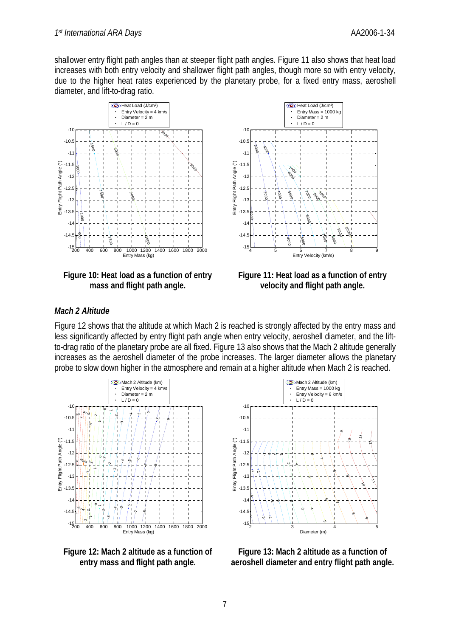shallower entry flight path angles than at steeper flight path angles. Figure 11 also shows that heat load increases with both entry velocity and shallower flight path angles, though more so with entry velocity, due to the higher heat rates experienced by the planetary probe, for a fixed entry mass, aeroshell diameter, and lift-to-drag ratio.



**Figure 10: Heat load as a function of entry mass and flight path angle.** 



**Figure 11: Heat load as a function of entry velocity and flight path angle.** 

# *Mach 2 Altitude*

Figure 12 shows that the altitude at which Mach 2 is reached is strongly affected by the entry mass and less significantly affected by entry flight path angle when entry velocity, aeroshell diameter, and the liftto-drag ratio of the planetary probe are all fixed. Figure 13 also shows that the Mach 2 altitude generally increases as the aeroshell diameter of the probe increases. The larger diameter allows the planetary probe to slow down higher in the atmosphere and remain at a higher altitude when Mach 2 is reached.



**Figure 12: Mach 2 altitude as a function of entry mass and flight path angle.** 



**Figure 13: Mach 2 altitude as a function of aeroshell diameter and entry flight path angle.**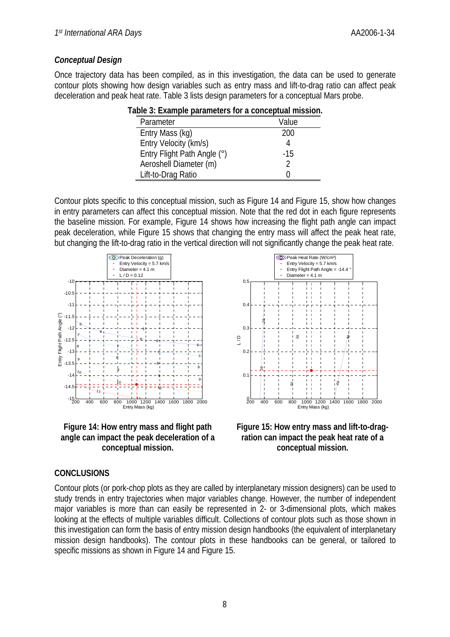## *Conceptual Design*

Once trajectory data has been compiled, as in this investigation, the data can be used to generate contour plots showing how design variables such as entry mass and lift-to-drag ratio can affect peak deceleration and peak heat rate. Table 3 lists design parameters for a conceptual Mars probe.

| old of Example parameters for a conceptual importi |       |
|----------------------------------------------------|-------|
| Parameter                                          | Value |
| Entry Mass (kg)                                    | 200   |
| Entry Velocity (km/s)                              |       |
| Entry Flight Path Angle (°)                        | -15   |
| Aeroshell Diameter (m)                             |       |
| Lift-to-Drag Ratio                                 |       |
|                                                    |       |

| Table 3: Example parameters for a conceptual mission. |
|-------------------------------------------------------|
|-------------------------------------------------------|

Contour plots specific to this conceptual mission, such as Figure 14 and Figure 15, show how changes in entry parameters can affect this conceptual mission. Note that the red dot in each figure represents the baseline mission. For example, Figure 14 shows how increasing the flight path angle can impact peak deceleration, while Figure 15 shows that changing the entry mass will affect the peak heat rate, but changing the lift-to-drag ratio in the vertical direction will not significantly change the peak heat rate.



**Figure 14: How entry mass and flight path angle can impact the peak deceleration of a conceptual mission.** 





### **CONCLUSIONS**

Contour plots (or pork-chop plots as they are called by interplanetary mission designers) can be used to study trends in entry trajectories when major variables change. However, the number of independent major variables is more than can easily be represented in 2- or 3-dimensional plots, which makes looking at the effects of multiple variables difficult. Collections of contour plots such as those shown in this investigation can form the basis of entry mission design handbooks (the equivalent of interplanetary mission design handbooks). The contour plots in these handbooks can be general, or tailored to specific missions as shown in Figure 14 and Figure 15.